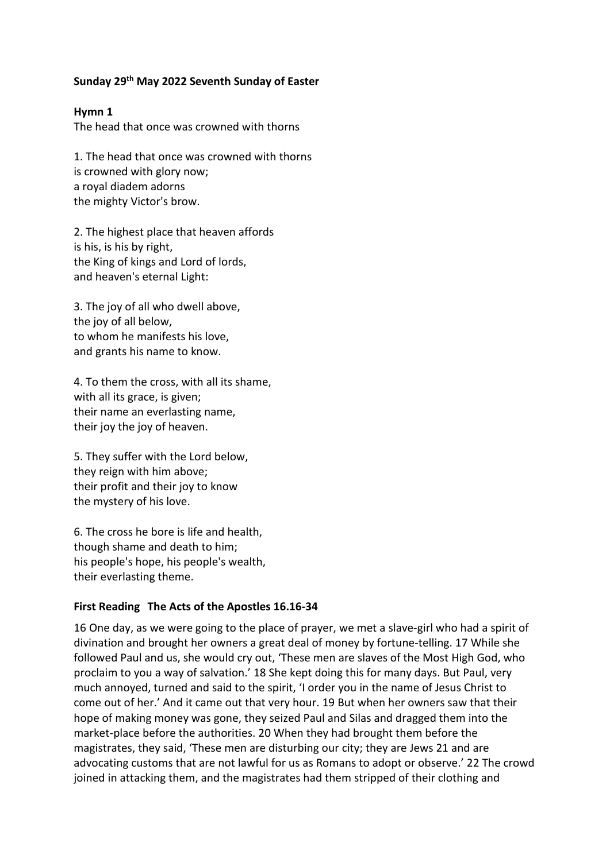# **Sunday 29th May 2022 Seventh Sunday of Easter**

### **Hymn 1**

The head that once was crowned with thorns

1. The head that once was crowned with thorns is crowned with glory now; a royal diadem adorns the mighty Victor's brow.

2. The highest place that heaven affords is his, is his by right, the King of kings and Lord of lords, and heaven's eternal Light:

3. The joy of all who dwell above, the joy of all below, to whom he manifests his love, and grants his name to know.

4. To them the cross, with all its shame, with all its grace, is given; their name an everlasting name, their joy the joy of heaven.

5. They suffer with the Lord below, they reign with him above; their profit and their joy to know the mystery of his love.

6. The cross he bore is life and health, though shame and death to him; his people's hope, his people's wealth, their everlasting theme.

### **First Reading The Acts of the Apostles 16.16-34**

16 One day, as we were going to the place of prayer, we met a slave-girl who had a spirit of divination and brought her owners a great deal of money by fortune-telling. 17 While she followed Paul and us, she would cry out, 'These men are slaves of the Most High God, who proclaim to you a way of salvation.' 18 She kept doing this for many days. But Paul, very much annoyed, turned and said to the spirit, 'I order you in the name of Jesus Christ to come out of her.' And it came out that very hour. 19 But when her owners saw that their hope of making money was gone, they seized Paul and Silas and dragged them into the market-place before the authorities. 20 When they had brought them before the magistrates, they said, 'These men are disturbing our city; they are Jews 21 and are advocating customs that are not lawful for us as Romans to adopt or observe.' 22 The crowd joined in attacking them, and the magistrates had them stripped of their clothing and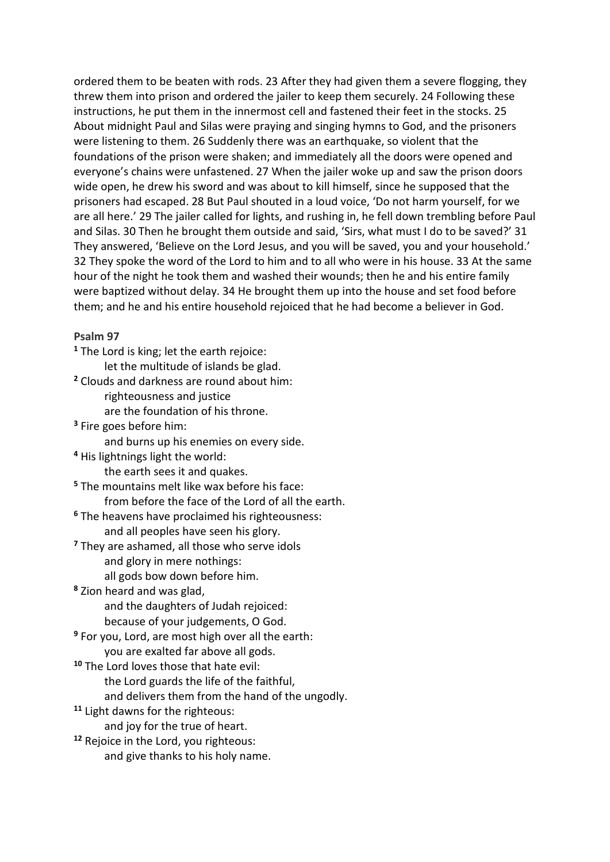ordered them to be beaten with rods. 23 After they had given them a severe flogging, they threw them into prison and ordered the jailer to keep them securely. 24 Following these instructions, he put them in the innermost cell and fastened their feet in the stocks. 25 About midnight Paul and Silas were praying and singing hymns to God, and the prisoners were listening to them. 26 Suddenly there was an earthquake, so violent that the foundations of the prison were shaken; and immediately all the doors were opened and everyone's chains were unfastened. 27 When the jailer woke up and saw the prison doors wide open, he drew his sword and was about to kill himself, since he supposed that the prisoners had escaped. 28 But Paul shouted in a loud voice, 'Do not harm yourself, for we are all here.' 29 The jailer called for lights, and rushing in, he fell down trembling before Paul and Silas. 30 Then he brought them outside and said, 'Sirs, what must I do to be saved?' 31 They answered, 'Believe on the Lord Jesus, and you will be saved, you and your household.' 32 They spoke the word of the Lord to him and to all who were in his house. 33 At the same hour of the night he took them and washed their wounds; then he and his entire family were baptized without delay. 34 He brought them up into the house and set food before them; and he and his entire household rejoiced that he had become a believer in God.

### **Psalm 97**

**<sup>1</sup>** The Lord is king; let the earth rejoice: let the multitude of islands be glad. **<sup>2</sup>** Clouds and darkness are round about him: righteousness and justice are the foundation of his throne. **<sup>3</sup>** Fire goes before him: and burns up his enemies on every side. **<sup>4</sup>** His lightnings light the world: the earth sees it and quakes. **<sup>5</sup>** The mountains melt like wax before his face: from before the face of the Lord of all the earth. **<sup>6</sup>** The heavens have proclaimed his righteousness: and all peoples have seen his glory. **<sup>7</sup>** They are ashamed, all those who serve idols and glory in mere nothings: all gods bow down before him. **<sup>8</sup>** Zion heard and was glad, and the daughters of Judah rejoiced: because of your judgements, O God. **<sup>9</sup>** For you, Lord, are most high over all the earth: you are exalted far above all gods. **<sup>10</sup>** The Lord loves those that hate evil: the Lord guards the life of the faithful, and delivers them from the hand of the ungodly. **<sup>11</sup>** Light dawns for the righteous: and joy for the true of heart. **<sup>12</sup>** Rejoice in the Lord, you righteous: and give thanks to his holy name.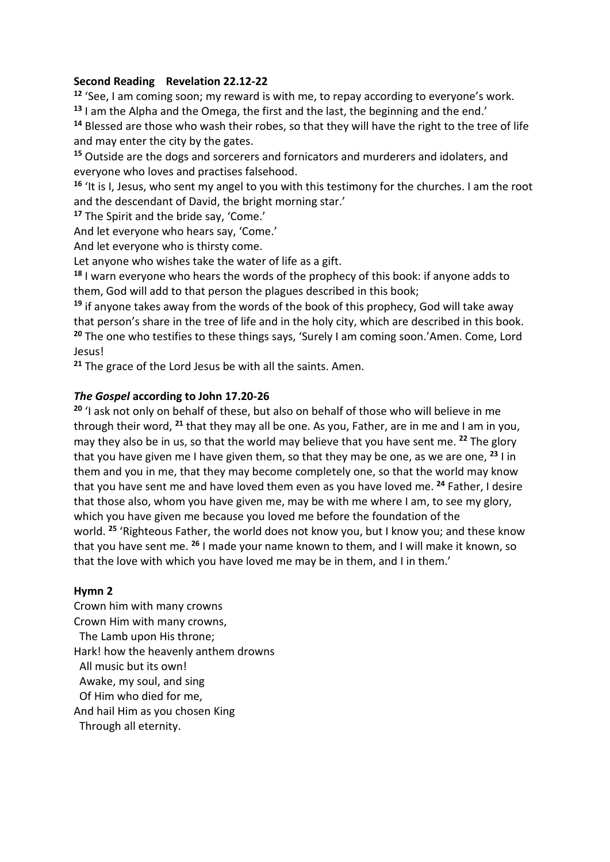# **Second Reading Revelation 22.12-22**

**<sup>12</sup>** 'See, I am coming soon; my reward is with me, to repay according to everyone's work. **<sup>13</sup>** I am the Alpha and the Omega, the first and the last, the beginning and the end.'

**<sup>14</sup>** Blessed are those who wash their robes, so that they will have the right to the tree of life and may enter the city by the gates.

**<sup>15</sup>** Outside are the dogs and sorcerers and fornicators and murderers and idolaters, and everyone who loves and practises falsehood.

**<sup>16</sup>** 'It is I, Jesus, who sent my angel to you with this testimony for the churches. I am the root and the descendant of David, the bright morning star.'

**<sup>17</sup>** The Spirit and the bride say, 'Come.'

And let everyone who hears say, 'Come.'

And let everyone who is thirsty come.

Let anyone who wishes take the water of life as a gift.

**<sup>18</sup>** I warn everyone who hears the words of the prophecy of this book: if anyone adds to them, God will add to that person the plagues described in this book;

**<sup>19</sup>** if anyone takes away from the words of the book of this prophecy, God will take away that person's share in the tree of life and in the holy city, which are described in this book. **<sup>20</sup>** The one who testifies to these things says, 'Surely I am coming soon.'Amen. Come, Lord Jesus!

**<sup>21</sup>** The grace of the Lord Jesus be with all the saints. Amen.

# *The Gospel* **according to John 17.20-26**

**<sup>20</sup>** 'I ask not only on behalf of these, but also on behalf of those who will believe in me through their word, **<sup>21</sup>** that they may all be one. As you, Father, are in me and I am in you, may they also be in us, so that the world may believe that you have sent me. **<sup>22</sup>** The glory that you have given me I have given them, so that they may be one, as we are one, **<sup>23</sup>** I in them and you in me, that they may become completely one, so that the world may know that you have sent me and have loved them even as you have loved me. **<sup>24</sup>** Father, I desire that those also, whom you have given me, may be with me where I am, to see my glory, which you have given me because you loved me before the foundation of the world. **<sup>25</sup>** 'Righteous Father, the world does not know you, but I know you; and these know that you have sent me. **<sup>26</sup>** I made your name known to them, and I will make it known, so that the love with which you have loved me may be in them, and I in them.'

### **Hymn 2**

Crown him with many crowns Crown Him with many crowns, The Lamb upon His throne; Hark! how the heavenly anthem drowns All music but its own! Awake, my soul, and sing Of Him who died for me, And hail Him as you chosen King Through all eternity.